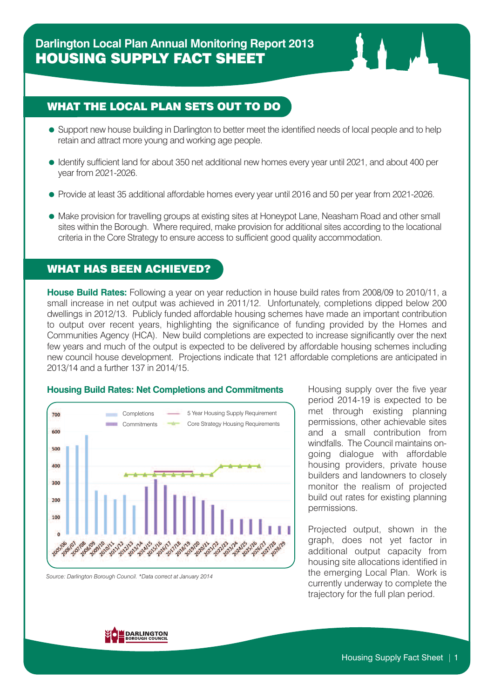### WHAT THE LOCAL PLAN SETS OUT TO DO

- Support new house building in Darlington to better meet the identified needs of local people and to help retain and attract more young and working age people.
- Identify sufficient land for about 350 net additional new homes every year until 2021, and about 400 per year from 2021-2026.
- Provide at least 35 additional affordable homes every year until 2016 and 50 per year from 2021-2026.
- Make provision for travelling groups at existing sites at Honeypot Lane, Neasham Road and other small sites within the Borough. Where required, make provision for additional sites according to the locational criteria in the Core Strategy to ensure access to sufficient good quality accommodation.

### WHAT HAS BEEN ACHIEVED?

**House Build Rates:** Following a year on year reduction in house build rates from 2008/09 to 2010/11, a small increase in net output was achieved in 2011/12. Unfortunately, completions dipped below 200 dwellings in 2012/13. Publicly funded affordable housing schemes have made an important contribution to output over recent years, highlighting the significance of funding provided by the Homes and Communities Agency (HCA). New build completions are expected to increase significantly over the next few years and much of the output is expected to be delivered by affordable housing schemes including new council house development. Projections indicate that 121 affordable completions are anticipated in 2013/14 and a further 137 in 2014/15.



#### **Housing Build Rates: Net Completions and Commitments**

*Source: Darlington Borough Council. \*Data correct at January 2014*

Housing supply over the five year period 2014-19 is expected to be met through existing planning permissions, other achievable sites and a small contribution from windfalls. The Council maintains ongoing dialogue with affordable housing providers, private house builders and landowners to closely monitor the realism of projected build out rates for existing planning permissions.

Projected output, shown in the graph, does not yet factor in additional output capacity from housing site allocations identified in the emerging Local Plan. Work is currently underway to complete the trajectory for the full plan period.

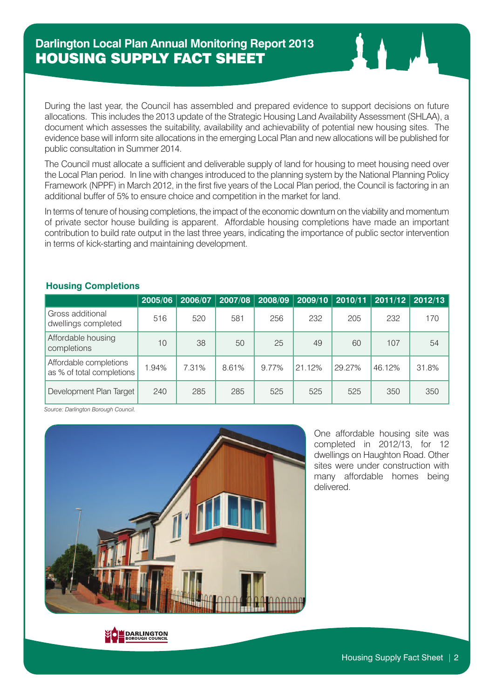During the last year, the Council has assembled and prepared evidence to support decisions on future allocations. This includes the 2013 update of the Strategic Housing Land Availability Assessment (SHLAA), a document which assesses the suitability, availability and achievability of potential new housing sites. The evidence base will inform site allocations in the emerging Local Plan and new allocations will be published for public consultation in Summer 2014.

The Council must allocate a sufficient and deliverable supply of land for housing to meet housing need over the Local Plan period. In line with changes introduced to the planning system by the National Planning Policy Framework (NPPF) in March 2012, in the first five years of the Local Plan period, the Council is factoring in an additional buffer of 5% to ensure choice and competition in the market for land.

In terms of tenure of housing completions, the impact of the economic downturn on the viability and momentum of private sector house building is apparent. Affordable housing completions have made an important contribution to build rate output in the last three years, indicating the importance of public sector intervention in terms of kick-starting and maintaining development.

|                                                     | 2005/06 | 2006/07 | 2007/08 | 2008/09 | 2009/10 | 2010/11 | 2011/12 | 2012/13 |
|-----------------------------------------------------|---------|---------|---------|---------|---------|---------|---------|---------|
| Gross additional<br>dwellings completed             | 516     | 520     | 581     | 256     | 232     | 205     | 232     | 170     |
| Affordable housing<br>completions                   | 10      | 38      | 50      | 25      | 49      | 60      | 107     | 54      |
| Affordable completions<br>as % of total completions | 1.94%   | 7.31%   | 8.61%   | 9.77%   | 21.12%  | 29.27%  | 46.12%  | 31.8%   |
| Development Plan Target                             | 240     | 285     | 285     | 525     | 525     | 525     | 350     | 350     |

#### **Housing Completions**

*Source: Darlington Borough Council.*



One affordable housing site was completed in 2012/13, for 12 dwellings on Haughton Road. Other sites were under construction with many affordable homes being delivered.

**DARLINGTON**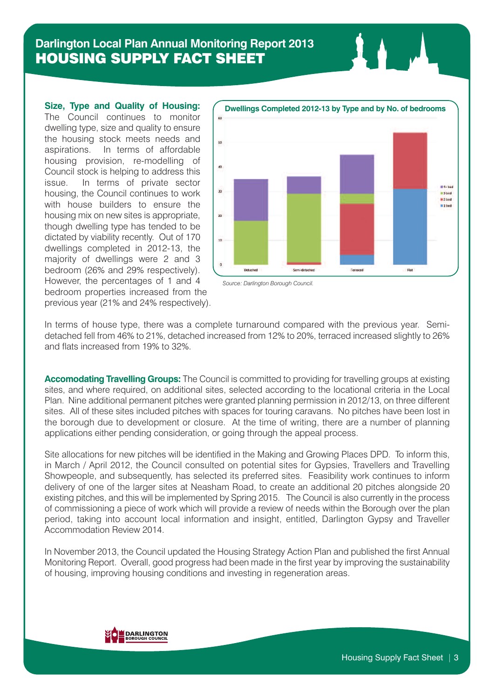# **Darlington Local Plan Annual Monitoring Report 2013** HOUSING SUPPLY FACT SHEET

**Size, Type and Quality of Housing:** The Council continues to monitor dwelling type, size and quality to ensure the housing stock meets needs and aspirations. In terms of affordable housing provision, re-modelling of Council stock is helping to address this issue. In terms of private sector housing, the Council continues to work with house builders to ensure the housing mix on new sites is appropriate, though dwelling type has tended to be dictated by viability recently. Out of 170 dwellings completed in 2012-13, the majority of dwellings were 2 and 3 bedroom (26% and 29% respectively). However, the percentages of 1 and 4 bedroom properties increased from the previous year (21% and 24% respectively).



*Source: Darlington Borough Council.*

In terms of house type, there was a complete turnaround compared with the previous year. Semidetached fell from 46% to 21%, detached increased from 12% to 20%, terraced increased slightly to 26% and flats increased from 19% to 32%.

**Accomodating Travelling Groups:** The Council is committed to providing for travelling groups at existing sites, and where required, on additional sites, selected according to the locational criteria in the Local Plan. Nine additional permanent pitches were granted planning permission in 2012/13, on three different sites. All of these sites included pitches with spaces for touring caravans. No pitches have been lost in the borough due to development or closure. At the time of writing, there are a number of planning applications either pending consideration, or going through the appeal process.

Site allocations for new pitches will be identified in the Making and Growing Places DPD. To inform this, in March / April 2012, the Council consulted on potential sites for Gypsies, Travellers and Travelling Showpeople, and subsequently, has selected its preferred sites. Feasibility work continues to inform delivery of one of the larger sites at Neasham Road, to create an additional 20 pitches alongside 20 existing pitches, and this will be implemented by Spring 2015. The Council is also currently in the process of commissioning a piece of work which will provide a review of needs within the Borough over the plan period, taking into account local information and insight, entitled, Darlington Gypsy and Traveller Accommodation Review 2014.

In November 2013, the Council updated the Housing Strategy Action Plan and published the first Annual Monitoring Report. Overall, good progress had been made in the first year by improving the sustainability of housing, improving housing conditions and investing in regeneration areas.